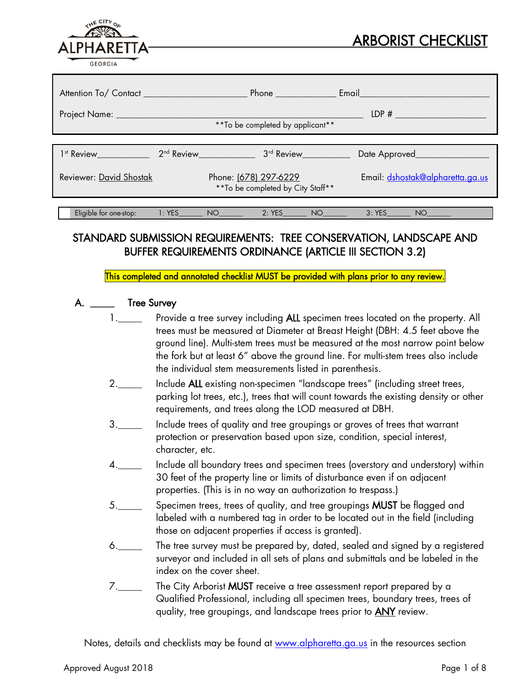|                   | <b>ARBORIST CHECKLIST</b> |
|-------------------|---------------------------|
| <b>ALPHARETTA</b> |                           |
| <b>GEORGIA</b>    |                           |
|                   |                           |

| Attention To/ Contact ____________________ |          |                                   | Phone $\frac{1}{2}$                                                                                                                                                                                                                            |    | Email__________                  |
|--------------------------------------------|----------|-----------------------------------|------------------------------------------------------------------------------------------------------------------------------------------------------------------------------------------------------------------------------------------------|----|----------------------------------|
| Project Name: _____                        |          |                                   | ** To be completed by applicant**                                                                                                                                                                                                              |    | LDP#                             |
| $1st$ Review $\qquad \qquad$               |          | 2 <sup>nd</sup> Review <u>and</u> | 3 <sup>rd</sup> Review <u>Allen Barbara and Barbara and Barbara and Barbara and Barbara and Barbara and Barbara and Barbara and Barbara and Barbara and Barbara and Barbara and Barbara and Barbara and Barbara and Barbara and Barbara an</u> |    | Date Approved__________          |
| Reviewer: David Shostak                    |          | Phone: (678) 297-6229             | ** To be completed by City Staff**                                                                                                                                                                                                             |    | Email: dshostak@alpharetta.ga.us |
| Eligible for one-stop:                     | $1:$ YES | NO <sub>2</sub>                   | 2: YES                                                                                                                                                                                                                                         | NO | 3:YES<br>NO <sub>1</sub>         |

# STANDARD SUBMISSION REQUIREMENTS: TREE CONSERVATION, LANDSCAPE AND BUFFER REQUIREMENTS ORDINANCE (ARTICLE III SECTION 3.2)

This completed and annotated checklist MUST be provided with plans prior to any review.

#### A. \_\_\_\_\_\_\_ Tree Survey

- 1.\_\_\_\_\_ Provide a tree survey including **ALL** specimen trees located on the property. All trees must be measured at Diameter at Breast Height (DBH: 4.5 feet above the ground line). Multi-stem trees must be measured at the most narrow point below the fork but at least 6" above the ground line. For multi-stem trees also include the individual stem measurements listed in parenthesis.
- 2.\_\_\_\_\_ Include ALL existing non-specimen "landscape trees" (including street trees, parking lot trees, etc.), trees that will count towards the existing density or other requirements, and trees along the LOD measured at DBH.
- 3.\_\_\_\_\_ Include trees of quality and tree groupings or groves of trees that warrant protection or preservation based upon size, condition, special interest, character, etc.
- 4.\_\_\_\_\_ Include all boundary trees and specimen trees (overstory and understory) within 30 feet of the property line or limits of disturbance even if on adjacent properties. (This is in no way an authorization to trespass.)
- 5.\_\_\_\_\_\_ Specimen trees, trees of quality, and tree groupings **MUST** be flagged and labeled with a numbered tag in order to be located out in the field (including those on adjacent properties if access is granted).
- 6.\_\_\_\_\_ The tree survey must be prepared by, dated, sealed and signed by a registered surveyor and included in all sets of plans and submittals and be labeled in the index on the cover sheet.
- 7.\_\_\_\_\_ The City Arborist MUST receive a tree assessment report prepared by a Qualified Professional, including all specimen trees, boundary trees, trees of quality, tree groupings, and landscape trees prior to **ANY** review.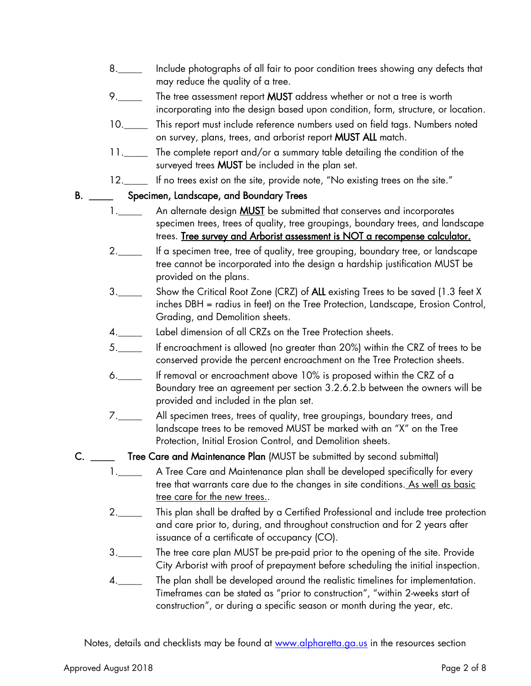- 8.\_\_\_\_\_ Include photographs of all fair to poor condition trees showing any defects that may reduce the quality of a tree.
- 9. The tree assessment report MUST address whether or not a tree is worth incorporating into the design based upon condition, form, structure, or location.
- 10. This report must include reference numbers used on field tags. Numbers noted on survey, plans, trees, and arborist report MUST ALL match.
- 11.\_\_\_\_\_ The complete report and/or a summary table detailing the condition of the surveyed trees MUST be included in the plan set.
- 12.\_\_\_\_ If no trees exist on the site, provide note, "No existing trees on the site."

### B. \_\_\_\_\_\_\_ Specimen, Landscape, and Boundary Trees

- 1.\_\_\_\_\_\_ An alternate design **MUST** be submitted that conserves and incorporates specimen trees, trees of quality, tree groupings, boundary trees, and landscape trees. Tree survey and Arborist assessment is NOT a recompense calculator.
- 2.\_\_\_\_\_ If a specimen tree, tree of quality, tree grouping, boundary tree, or landscape tree cannot be incorporated into the design a hardship justification MUST be provided on the plans.
- 3.\_\_\_\_\_ Show the Critical Root Zone (CRZ) of ALL existing Trees to be saved (1.3 feet X inches DBH = radius in feet) on the Tree Protection, Landscape, Erosion Control, Grading, and Demolition sheets.
- 4.\_\_\_\_\_ Label dimension of all CRZs on the Tree Protection sheets.
- 5.\_\_\_\_\_ If encroachment is allowed (no greater than 20%) within the CRZ of trees to be conserved provide the percent encroachment on the Tree Protection sheets.
- 6.\_\_\_\_\_ If removal or encroachment above 10% is proposed within the CRZ of a Boundary tree an agreement per section 3.2.6.2.b between the owners will be provided and included in the plan set.
- 7.\_\_\_\_\_ All specimen trees, trees of quality, tree groupings, boundary trees, and landscape trees to be removed MUST be marked with an "X" on the Tree Protection, Initial Erosion Control, and Demolition sheets.
- C. \_\_\_\_\_ Tree Care and Maintenance Plan (MUST be submitted by second submittal)
	- 1.\_\_\_\_\_\_ A Tree Care and Maintenance plan shall be developed specifically for every tree that warrants care due to the changes in site conditions. As well as basic tree care for the new trees..
	- 2.\_\_\_\_\_ This plan shall be drafted by a Certified Professional and include tree protection and care prior to, during, and throughout construction and for 2 years after issuance of a certificate of occupancy (CO).
	- 3.\_\_\_\_\_ The tree care plan MUST be pre-paid prior to the opening of the site. Provide City Arborist with proof of prepayment before scheduling the initial inspection.
	- 4.\_\_\_\_\_ The plan shall be developed around the realistic timelines for implementation. Timeframes can be stated as "prior to construction", "within 2-weeks start of construction", or during a specific season or month during the year, etc.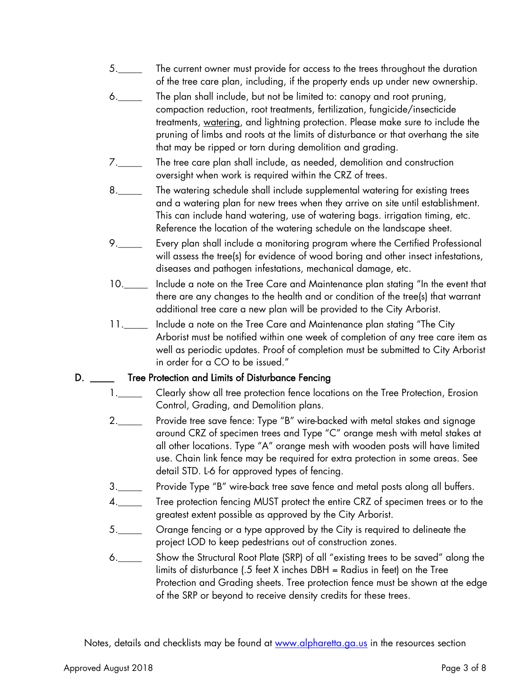- 5.\_\_\_\_\_ The current owner must provide for access to the trees throughout the duration of the tree care plan, including, if the property ends up under new ownership.
- 6.\_\_\_\_\_ The plan shall include, but not be limited to: canopy and root pruning, compaction reduction, root treatments, fertilization, fungicide/insecticide treatments, watering, and lightning protection. Please make sure to include the pruning of limbs and roots at the limits of disturbance or that overhang the site that may be ripped or torn during demolition and grading.
- 7.\_\_\_\_\_ The tree care plan shall include, as needed, demolition and construction oversight when work is required within the CRZ of trees.
- 8.\_\_\_\_\_ The watering schedule shall include supplemental watering for existing trees and a watering plan for new trees when they arrive on site until establishment. This can include hand watering, use of watering bags. irrigation timing, etc. Reference the location of the watering schedule on the landscape sheet.
- 9.\_\_\_\_\_ Every plan shall include a monitoring program where the Certified Professional will assess the tree(s) for evidence of wood boring and other insect infestations, diseases and pathogen infestations, mechanical damage, etc.
- 10.\_\_\_\_\_ Include a note on the Tree Care and Maintenance plan stating "In the event that there are any changes to the health and or condition of the tree(s) that warrant additional tree care a new plan will be provided to the City Arborist.
- 11.\_\_\_\_\_ Include a note on the Tree Care and Maintenance plan stating "The City Arborist must be notified within one week of completion of any tree care item as well as periodic updates. Proof of completion must be submitted to City Arborist in order for a CO to be issued."

## D. \_\_\_\_\_\_ Tree Protection and Limits of Disturbance Fencing

- 1.\_\_\_\_\_ Clearly show all tree protection fence locations on the Tree Protection, Erosion Control, Grading, and Demolition plans.
- 2.\_\_\_\_\_ Provide tree save fence: Type "B" wire-backed with metal stakes and signage around CRZ of specimen trees and Type "C" orange mesh with metal stakes at all other locations. Type "A" orange mesh with wooden posts will have limited use. Chain link fence may be required for extra protection in some areas. See detail STD. L-6 for approved types of fencing.
- 3.\_\_\_\_\_ Provide Type "B" wire-back tree save fence and metal posts along all buffers.
- 4.\_\_\_\_\_ Tree protection fencing MUST protect the entire CRZ of specimen trees or to the greatest extent possible as approved by the City Arborist.
- 5. \_\_\_\_ Orange fencing or a type approved by the City is required to delineate the project LOD to keep pedestrians out of construction zones.
- 6.\_\_\_\_\_ Show the Structural Root Plate (SRP) of all "existing trees to be saved" along the limits of disturbance (.5 feet X inches DBH = Radius in feet) on the Tree Protection and Grading sheets. Tree protection fence must be shown at the edge of the SRP or beyond to receive density credits for these trees.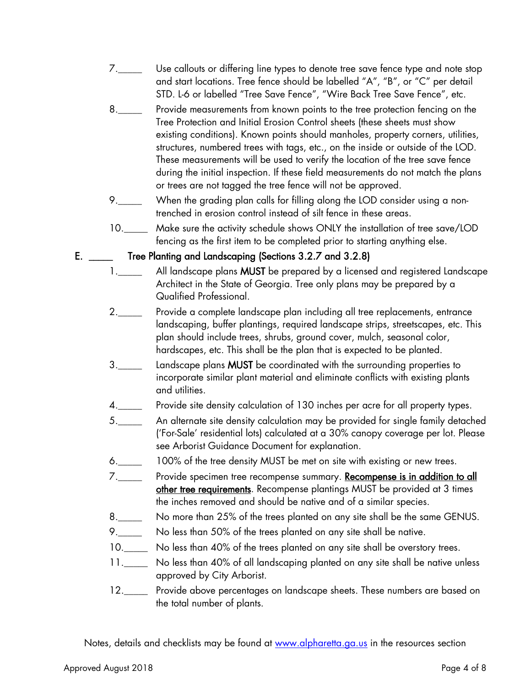- 7.\_\_\_\_\_ Use callouts or differing line types to denote tree save fence type and note stop and start locations. Tree fence should be labelled "A", "B", or "C" per detail STD. L-6 or labelled "Tree Save Fence", "Wire Back Tree Save Fence", etc.
- 8.\_\_\_\_\_ Provide measurements from known points to the tree protection fencing on the Tree Protection and Initial Erosion Control sheets (these sheets must show existing conditions). Known points should manholes, property corners, utilities, structures, numbered trees with tags, etc., on the inside or outside of the LOD. These measurements will be used to verify the location of the tree save fence during the initial inspection. If these field measurements do not match the plans or trees are not tagged the tree fence will not be approved.
- 9.\_\_\_\_\_ When the grading plan calls for filling along the LOD consider using a nontrenched in erosion control instead of silt fence in these areas.
- 10. Make sure the activity schedule shows ONLY the installation of tree save/LOD fencing as the first item to be completed prior to starting anything else.

#### E. \_\_\_\_\_ Tree Planting and Landscaping (Sections 3.2.7 and 3.2.8)

- 1.\_\_\_\_\_ All landscape plans MUST be prepared by a licensed and registered Landscape Architect in the State of Georgia. Tree only plans may be prepared by a Qualified Professional.
- 2.\_\_\_\_\_ Provide a complete landscape plan including all tree replacements, entrance landscaping, buffer plantings, required landscape strips, streetscapes, etc. This plan should include trees, shrubs, ground cover, mulch, seasonal color, hardscapes, etc. This shall be the plan that is expected to be planted.
- 3.\_\_\_\_\_ Landscape plans MUST be coordinated with the surrounding properties to incorporate similar plant material and eliminate conflicts with existing plants and utilities.
- 4.\_\_\_\_\_ Provide site density calculation of 130 inches per acre for all property types.
- 5.\_\_\_\_\_ An alternate site density calculation may be provided for single family detached ('For-Sale' residential lots) calculated at a 30% canopy coverage per lot. Please see Arborist Guidance Document for explanation.
- 6.\_\_\_\_\_ 100% of the tree density MUST be met on site with existing or new trees.
- 7.\_\_\_\_\_ Provide specimen tree recompense summary. Recompense is in addition to all other tree requirements. Recompense plantings MUST be provided at 3 times the inches removed and should be native and of a similar species.
- 8.\_\_\_\_\_ No more than 25% of the trees planted on any site shall be the same GENUS.
- 9.\_\_\_\_\_ No less than 50% of the trees planted on any site shall be native.
- 10.\_\_\_\_\_ No less than 40% of the trees planted on any site shall be overstory trees.
- 11.\_\_\_\_\_ No less than 40% of all landscaping planted on any site shall be native unless approved by City Arborist.
- 12.\_\_\_\_\_ Provide above percentages on landscape sheets. These numbers are based on the total number of plants.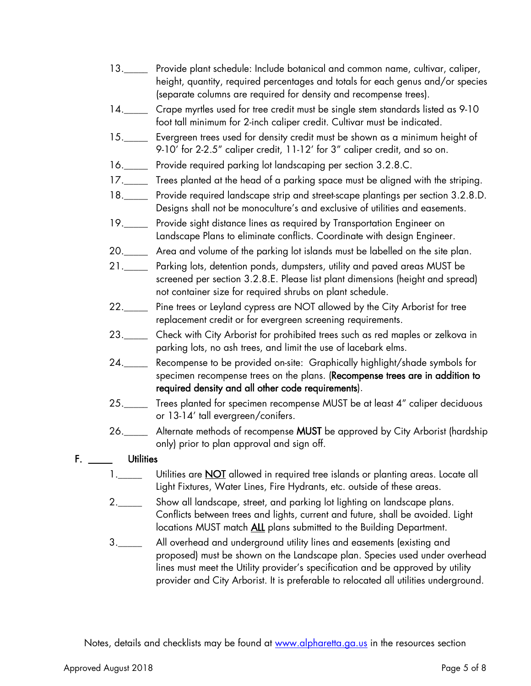- 13.\_\_\_\_\_ Provide plant schedule: Include botanical and common name, cultivar, caliper, height, quantity, required percentages and totals for each genus and/or species (separate columns are required for density and recompense trees).
- 14. Crape myrtles used for tree credit must be single stem standards listed as 9-10 foot tall minimum for 2-inch caliper credit. Cultivar must be indicated.
- 15.\_\_\_\_\_ Evergreen trees used for density credit must be shown as a minimum height of 9-10' for 2-2.5" caliper credit, 11-12' for 3" caliper credit, and so on.
- 16.\_\_\_\_\_ Provide required parking lot landscaping per section 3.2.8.C.
- 17.\_\_\_\_\_ Trees planted at the head of a parking space must be aligned with the striping.
- 18.\_\_\_\_\_ Provide required landscape strip and street-scape plantings per section 3.2.8.D. Designs shall not be monoculture's and exclusive of utilities and easements.
- 19.\_\_\_\_\_ Provide sight distance lines as required by Transportation Engineer on Landscape Plans to eliminate conflicts. Coordinate with design Engineer.
- 20.\_\_\_\_\_ Area and volume of the parking lot islands must be labelled on the site plan.
- 21.\_\_\_\_\_ Parking lots, detention ponds, dumpsters, utility and paved areas MUST be screened per section 3.2.8.E. Please list plant dimensions (height and spread) not container size for required shrubs on plant schedule.
- 22.\_\_\_\_\_ Pine trees or Leyland cypress are NOT allowed by the City Arborist for tree replacement credit or for evergreen screening requirements.
- 23. Check with City Arborist for prohibited trees such as red maples or zelkova in parking lots, no ash trees, and limit the use of lacebark elms.
- 24.\_\_\_\_\_ Recompense to be provided on-site: Graphically highlight/shade symbols for specimen recompense trees on the plans. (Recompense trees are in addition to required density and all other code requirements).
- 25.\_\_\_\_ Trees planted for specimen recompense MUST be at least 4" caliper deciduous or 13-14' tall evergreen/conifers.
- 26.\_\_\_\_\_ Alternate methods of recompense MUST be approved by City Arborist (hardship only) prior to plan approval and sign off.

## F. **Utilities**

- 1.\_\_\_\_\_ Utilities are **NOT** allowed in required tree islands or planting areas. Locate all Light Fixtures, Water Lines, Fire Hydrants, etc. outside of these areas.
- 2.\_\_\_\_\_\_ Show all landscape, street, and parking lot lighting on landscape plans. Conflicts between trees and lights, current and future, shall be avoided. Light locations MUST match ALL plans submitted to the Building Department.
- 3.\_\_\_\_\_ All overhead and underground utility lines and easements (existing and proposed) must be shown on the Landscape plan. Species used under overhead lines must meet the Utility provider's specification and be approved by utility provider and City Arborist. It is preferable to relocated all utilities underground.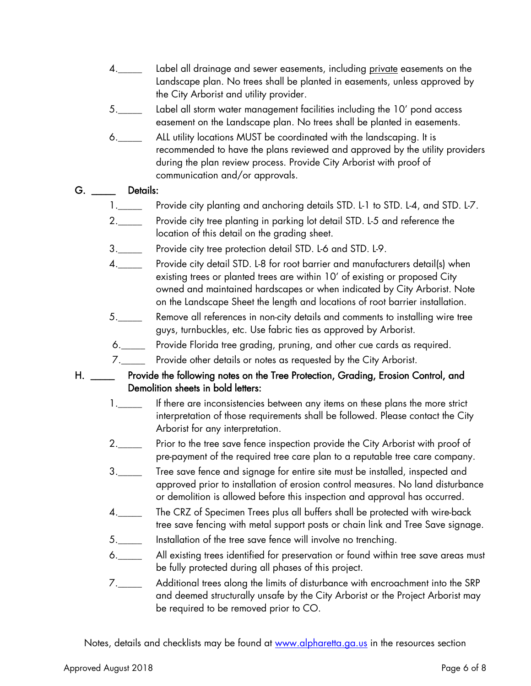- 4.\_\_\_\_\_ Label all drainage and sewer easements, including private easements on the Landscape plan. No trees shall be planted in easements, unless approved by the City Arborist and utility provider.
- 5.\_\_\_\_\_ Label all storm water management facilities including the 10' pond access easement on the Landscape plan. No trees shall be planted in easements.
- 6.\_\_\_\_\_ ALL utility locations MUST be coordinated with the landscaping. It is recommended to have the plans reviewed and approved by the utility providers during the plan review process. Provide City Arborist with proof of communication and/or approvals.

### G. \_\_\_\_\_\_ Details:

- 1.\_\_\_\_\_\_ Provide city planting and anchoring details STD. L-1 to STD. L-4, and STD. L-7.
- 2.\_\_\_\_\_ Provide city tree planting in parking lot detail STD. L-5 and reference the location of this detail on the grading sheet.
- 3.\_\_\_\_\_ Provide city tree protection detail STD. L-6 and STD. L-9.
- 4.\_\_\_\_\_\_ Provide city detail STD. L-8 for root barrier and manufacturers detail(s) when existing trees or planted trees are within 10' of existing or proposed City owned and maintained hardscapes or when indicated by City Arborist. Note on the Landscape Sheet the length and locations of root barrier installation.
- 5.\_\_\_\_\_ Remove all references in non-city details and comments to installing wire tree guys, turnbuckles, etc. Use fabric ties as approved by Arborist.
- 6.\_\_\_\_\_ Provide Florida tree grading, pruning, and other cue cards as required.
- 7.\_\_\_\_\_ Provide other details or notes as requested by the City Arborist.
- H. \_\_\_\_\_ Provide the following notes on the Tree Protection, Grading, Erosion Control, and Demolition sheets in bold letters:
	- 1.\_\_\_\_\_ If there are inconsistencies between any items on these plans the more strict interpretation of those requirements shall be followed. Please contact the City Arborist for any interpretation.
	- 2.\_\_\_\_\_ Prior to the tree save fence inspection provide the City Arborist with proof of pre-payment of the required tree care plan to a reputable tree care company.
	- 3.\_\_\_\_\_ Tree save fence and signage for entire site must be installed, inspected and approved prior to installation of erosion control measures. No land disturbance or demolition is allowed before this inspection and approval has occurred.
	- 4.\_\_\_\_\_ The CRZ of Specimen Trees plus all buffers shall be protected with wire-back tree save fencing with metal support posts or chain link and Tree Save signage.
	- 5. Installation of the tree save fence will involve no trenching.
	- 6.\_\_\_\_\_ All existing trees identified for preservation or found within tree save areas must be fully protected during all phases of this project.
	- 7.\_\_\_\_\_ Additional trees along the limits of disturbance with encroachment into the SRP and deemed structurally unsafe by the City Arborist or the Project Arborist may be required to be removed prior to CO.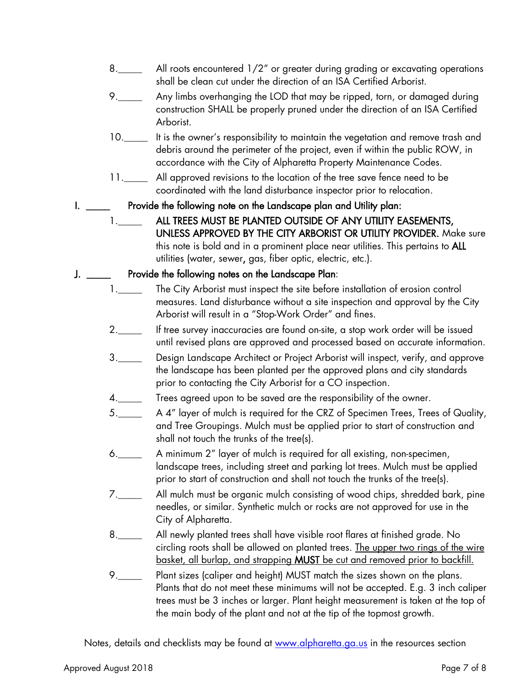- 8.\_\_\_\_\_ All roots encountered 1/2" or greater during grading or excavating operations shall be clean cut under the direction of an ISA Certified Arborist.
- 9.\_\_\_\_\_ Any limbs overhanging the LOD that may be ripped, torn, or damaged during construction SHALL be properly pruned under the direction of an ISA Certified Arborist.
- 10.\_\_\_\_\_ It is the owner's responsibility to maintain the vegetation and remove trash and debris around the perimeter of the project, even if within the public ROW, in accordance with the City of Alpharetta Property Maintenance Codes.
- 11.\_\_\_\_\_\_ All approved revisions to the location of the tree save fence need to be coordinated with the land disturbance inspector prior to relocation.
- I. \_\_\_\_\_ Provide the following note on the Landscape plan and Utility plan:
	- 1.\_\_\_\_\_\_\_ ALL TREES MUST BE PLANTED OUTSIDE OF ANY UTILITY EASEMENTS, UNLESS APPROVED BY THE CITY ARBORIST OR UTILITY PROVIDER. Make sure this note is bold and in a prominent place near utilities. This pertains to ALL utilities (water, sewer, gas, fiber optic, electric, etc.).

### J. \_\_\_\_\_ Provide the following notes on the Landscape Plan:

- 1.\_\_\_\_\_\_ The City Arborist must inspect the site before installation of erosion control measures. Land disturbance without a site inspection and approval by the City Arborist will result in a "Stop-Work Order" and fines.
- 2.\_\_\_\_\_ If tree survey inaccuracies are found on-site, a stop work order will be issued until revised plans are approved and processed based on accurate information.
- 3.\_\_\_\_\_\_ Design Landscape Architect or Project Arborist will inspect, verify, and approve the landscape has been planted per the approved plans and city standards prior to contacting the City Arborist for a CO inspection.
- 4.\_\_\_\_\_ Trees agreed upon to be saved are the responsibility of the owner.
- 5.\_\_\_\_\_ A 4" layer of mulch is required for the CRZ of Specimen Trees, Trees of Quality, and Tree Groupings. Mulch must be applied prior to start of construction and shall not touch the trunks of the tree(s).
- 6.\_\_\_\_\_ A minimum 2" layer of mulch is required for all existing, non-specimen, landscape trees, including street and parking lot trees. Mulch must be applied prior to start of construction and shall not touch the trunks of the tree(s).
- 7.\_\_\_\_\_ All mulch must be organic mulch consisting of wood chips, shredded bark, pine needles, or similar. Synthetic mulch or rocks are not approved for use in the City of Alpharetta.
- 8.\_\_\_\_\_ All newly planted trees shall have visible root flares at finished grade. No circling roots shall be allowed on planted trees. The upper two rings of the wire basket, all burlap, and strapping MUST be cut and removed prior to backfill.
- 9.\_\_\_\_\_ Plant sizes (caliper and height) MUST match the sizes shown on the plans. Plants that do not meet these minimums will not be accepted. E.g. 3 inch caliper trees must be 3 inches or larger. Plant height measurement is taken at the top of the main body of the plant and not at the tip of the topmost growth.